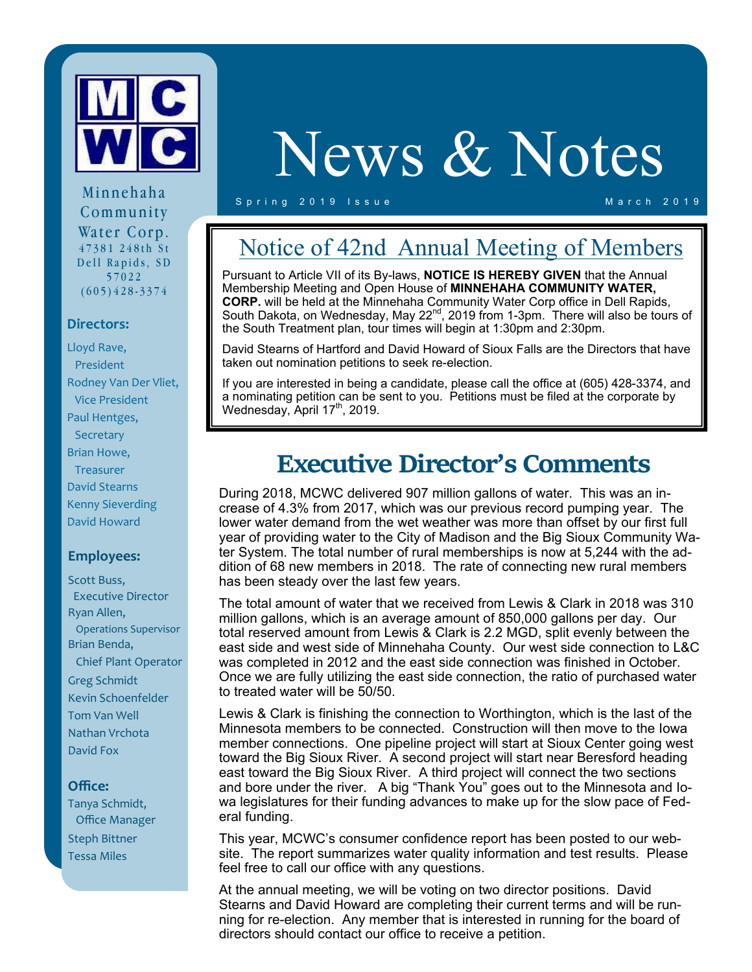

Minnehaha Community Water Corp. 47381 248th St Dell Rapids, SD 57022 (605)428-3374

## **Directors:**

Lloyd Rave, President Rodney Van Der Vliet, Vice President Paul Hentges, **Secretary** Brian Howe, **Treasurer** David Stearns Kenny Sieverding David Howard

### **Employees:**

Scott Buss, Executive Director Ryan Allen, Operations Supervisor Brian Benda, Chief Plant Operator Greg Schmidt Kevin Schoenfelder Tom Van Well Nathan Vrchota David Fox

## **Office:**

Tanya Schmidt, Office Manager Steph Bittner Tessa Miles

# News & Notes

#### Spring 2019 Issue March 2019

## Notice of 42nd Annual Meeting of Members

Pursuant to Article VII of its By-laws, **NOTICE IS HEREBY GIVEN** that the Annual Membership Meeting and Open House of **MINNEHAHA COMMUNITY WATER, CORP.** will be held at the Minnehaha Community Water Corp office in Dell Rapids, South Dakota, on Wednesday, May 22<sup>nd</sup>, 2019 from 1-3pm. There will also be tours of the South Treatment plan, tour times will begin at 1:30pm and 2:30pm.

David Stearns of Hartford and David Howard of Sioux Falls are the Directors that have taken out nomination petitions to seek re-election.

If you are interested in being a candidate, please call the office at (605) 428-3374, and a nominating petition can be sent to you. Petitions must be filed at the corporate by Wednesday, April  $17<sup>th</sup>$ , 2019.

## **Executive Director's Comments**

During 2018, MCWC delivered 907 million gallons of water. This was an increase of 4.3% from 2017, which was our previous record pumping year. The lower water demand from the wet weather was more than offset by our first full year of providing water to the City of Madison and the Big Sioux Community Water System. The total number of rural memberships is now at 5,244 with the addition of 68 new members in 2018. The rate of connecting new rural members has been steady over the last few years.

The total amount of water that we received from Lewis & Clark in 2018 was 310 million gallons, which is an average amount of 850,000 gallons per day. Our total reserved amount from Lewis & Clark is 2.2 MGD, split evenly between the east side and west side of Minnehaha County. Our west side connection to L&C was completed in 2012 and the east side connection was finished in October. Once we are fully utilizing the east side connection, the ratio of purchased water to treated water will be 50/50.

Lewis & Clark is finishing the connection to Worthington, which is the last of the Minnesota members to be connected. Construction will then move to the Iowa member connections. One pipeline project will start at Sioux Center going west toward the Big Sioux River. A second project will start near Beresford heading east toward the Big Sioux River. A third project will connect the two sections and bore under the river. A big "Thank You" goes out to the Minnesota and Iowa legislatures for their funding advances to make up for the slow pace of Federal funding.

This year, MCWC's consumer confidence report has been posted to our website. The report summarizes water quality information and test results. Please feel free to call our office with any questions.

At the annual meeting, we will be voting on two director positions. David Stearns and David Howard are completing their current terms and will be running for re-election. Any member that is interested in running for the board of directors should contact our office to receive a petition.